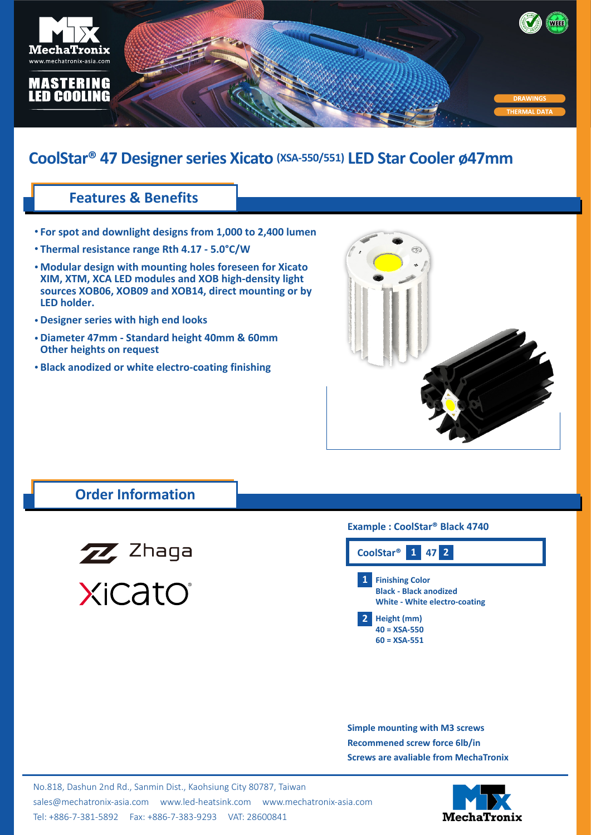

# **CoolStar® 47 Designer series Xicato (XSA-550/551) LED Star Cooler ø47mm**

## **Features & Benefits**

- **For spot and downlight designs from 1,000 to 2,400 lumen •**
- **Thermal resistance range Rth 4.17 5.0°C/W •**
- **Modular design with mounting holes foreseen for Xicato • XIM, XTM, XCA LED modules and XOB high-density light sources XOB06, XOB09 and XOB14, direct mounting or by LED holder.**
- **Designer series with high end looks •**
- **Diameter 47mm Standard height 40mm & 60mm • Other heights on request**
- **Black anodized or white electro-coating finishing •**



### **Order Information**



#### **Example : CoolStar® Black 4740**

| CoolStar <sup>®</sup> 1 47 2 |                                                                                                 |  |  |
|------------------------------|-------------------------------------------------------------------------------------------------|--|--|
| $\mathbf{1}$                 | <b>Finishing Color</b><br><b>Black - Black anodized</b><br><b>White - White electro-coating</b> |  |  |
| 2                            | Height (mm)<br>$40 = XSA-550$<br>$60 = XSA-551$                                                 |  |  |

**Simple mounting with M3 screws Recommened screw force 6lb/in Screws are avaliable from MechaTronix**

No.818, Dashun 2nd Rd., Sanmin Dist., Kaohsiung City 80787, Taiwan [sales@mechatronix-asia.com](mailto:sales%40mechatronix-asia.com?subject=) [www.led-heatsink.com](http://www.led-heatsink.com) [www.mechatronix-asia.com](http://www.mechatronix-asia.com) Tel: +886-7-381-5892 Fax: +886-7-383-9293 VAT: 28600841